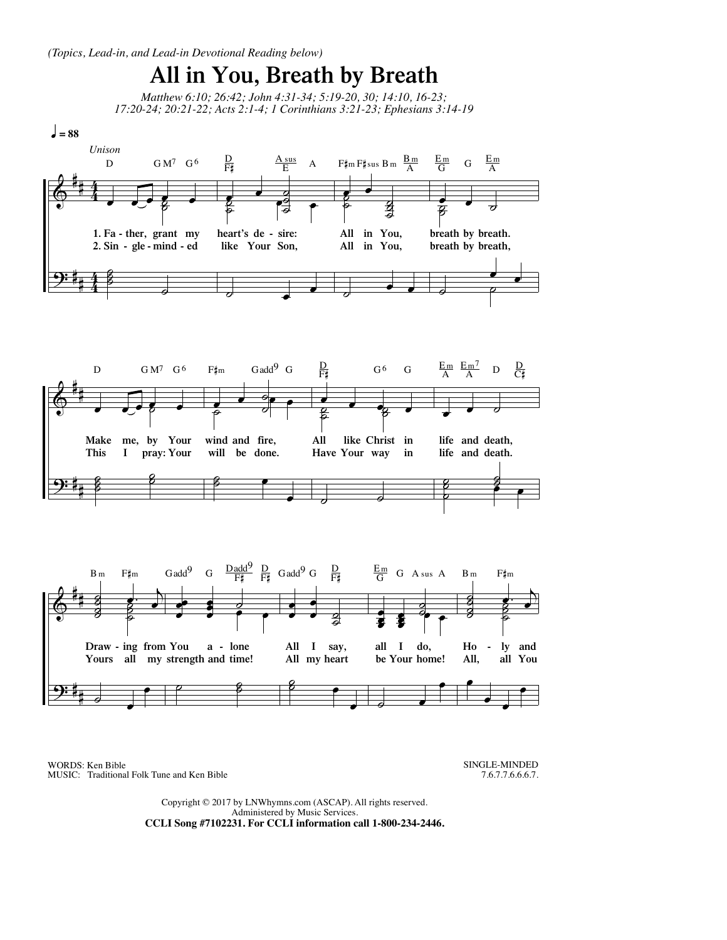

WORDS: Ken Bible MUSIC: Traditional Folk Tune and Ken Bible SINGLE-MINDED 7.6.7.7.6.6.6.7.

Copyright © 2017 by LNWhymns.com (ASCAP). All rights reserved. Administered by Music Services. **CCLI Song #7102231. For CCLI information call 1-800-234-2446.**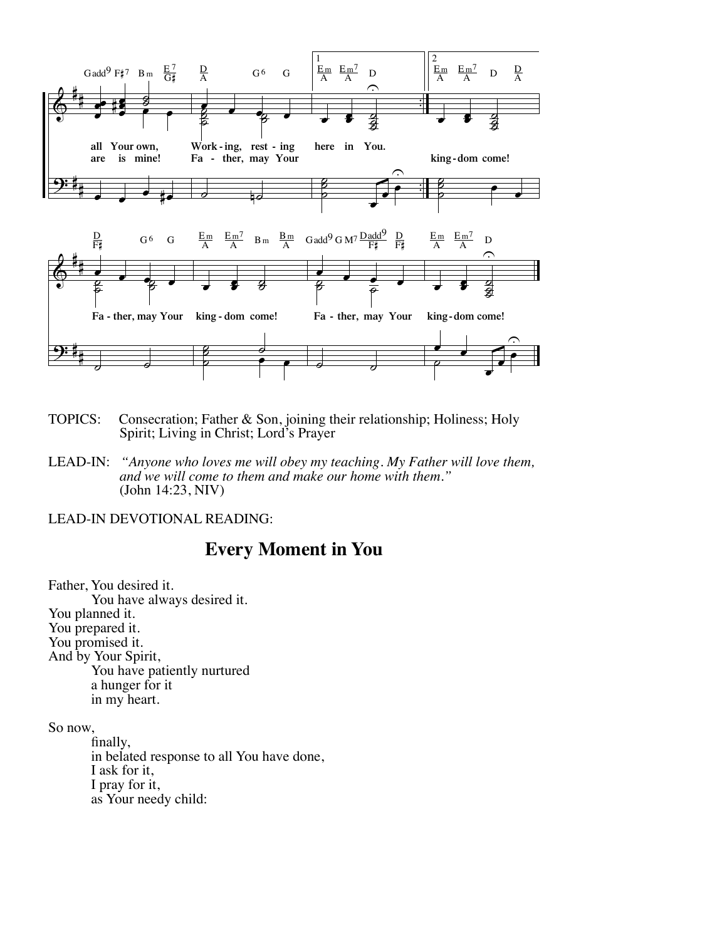

- TOPICS: Consecration; Father & Son, joining their relationship; Holiness; Holy Spirit; Living in Christ; Lord's Prayer
- LEAD-IN: *"Anyone who loves me will obey my teaching. My Father will love them, and we will come to them and make our home with them."* (John 14:23, NIV)

LEAD-IN DEVOTIONAL READING:

## **Every Moment in You**

Father, You desired it. You have always desired it. You planned it. You prepared it. You promised it. And by Your Spirit, You have patiently nurtured a hunger for it in my heart.

So now,

finally,<br>in belated response to all You have done,<br>I ask for it,<br>I pray for it,<br>as Your needy child: